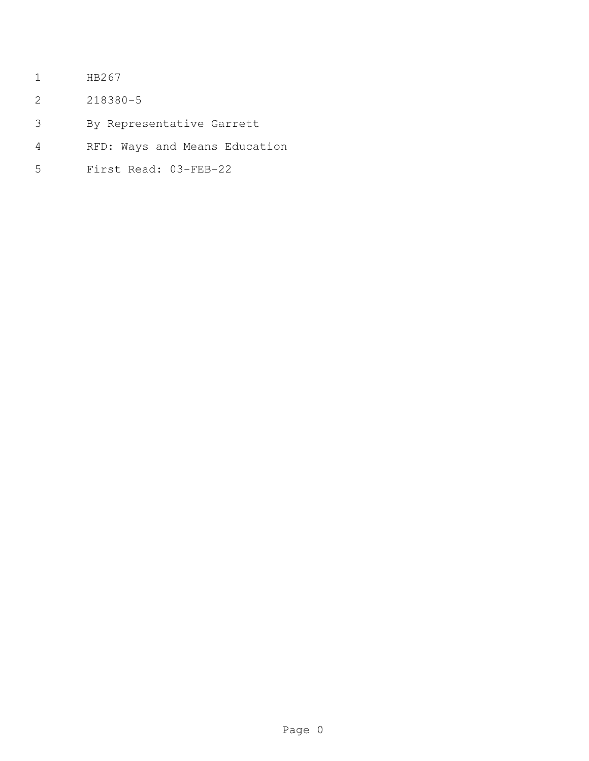- HB267
- 218380-5
- By Representative Garrett
- RFD: Ways and Means Education
- First Read: 03-FEB-22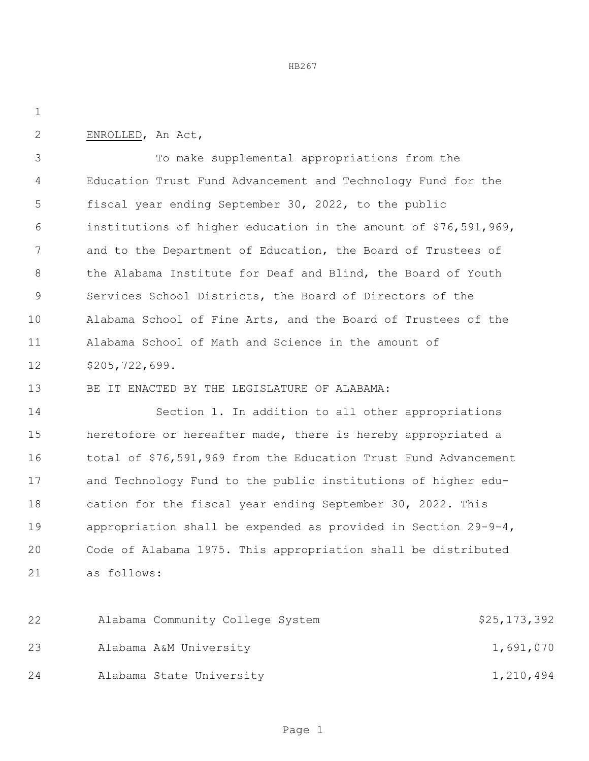ENROLLED, An Act,

 To make supplemental appropriations from the Education Trust Fund Advancement and Technology Fund for the fiscal year ending September 30, 2022, to the public institutions of higher education in the amount of \$76,591,969, and to the Department of Education, the Board of Trustees of the Alabama Institute for Deaf and Blind, the Board of Youth Services School Districts, the Board of Directors of the Alabama School of Fine Arts, and the Board of Trustees of the Alabama School of Math and Science in the amount of \$205,722,699.

BE IT ENACTED BY THE LEGISLATURE OF ALABAMA:

 Section 1. In addition to all other appropriations heretofore or hereafter made, there is hereby appropriated a total of \$76,591,969 from the Education Trust Fund Advancement and Technology Fund to the public institutions of higher edu- cation for the fiscal year ending September 30, 2022. This appropriation shall be expended as provided in Section 29-9-4, Code of Alabama 1975. This appropriation shall be distributed as follows:

22 Alabama Community College System 525,173,392 23 Alabama A&M University 1,691,070 24 Alabama State University 1,210,494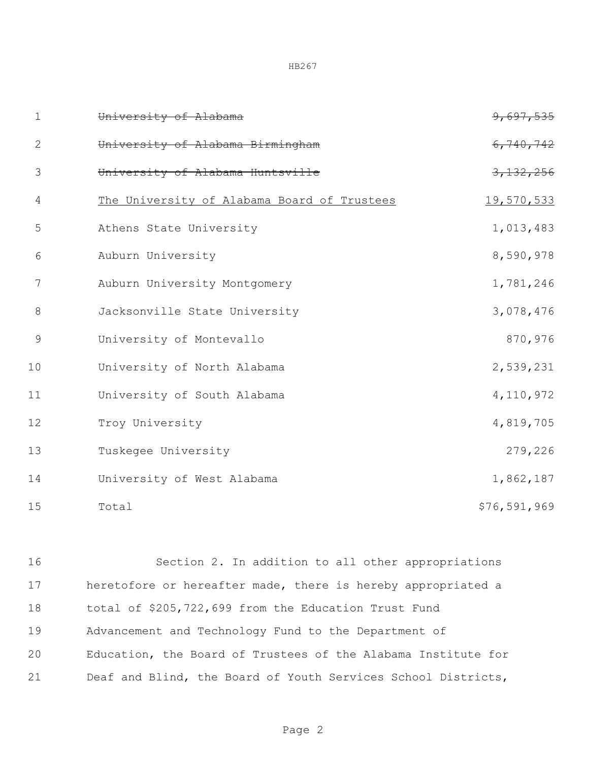| $\mathbf 1$    | University of Alabama                       | 9,697,535    |
|----------------|---------------------------------------------|--------------|
| $\overline{2}$ | University of Alabama Birmingham            | 6,740,742    |
| 3              | University of Alabama Huntsville            | 3,132,256    |
| $\overline{4}$ | The University of Alabama Board of Trustees | 19,570,533   |
| 5              | Athens State University                     | 1,013,483    |
| 6              | Auburn University                           | 8,590,978    |
| 7              | Auburn University Montgomery                | 1,781,246    |
| 8              | Jacksonville State University               | 3,078,476    |
| $\overline{9}$ | University of Montevallo                    | 870,976      |
| 10             | University of North Alabama                 | 2,539,231    |
| 11             | University of South Alabama                 | 4,110,972    |
| 12             | Troy University                             | 4,819,705    |
| 13             | Tuskegee University                         | 279,226      |
| 14             | University of West Alabama                  | 1,862,187    |
| 15             | Total                                       | \$76,591,969 |

 Section 2. In addition to all other appropriations heretofore or hereafter made, there is hereby appropriated a total of \$205,722,699 from the Education Trust Fund Advancement and Technology Fund to the Department of Education, the Board of Trustees of the Alabama Institute for Deaf and Blind, the Board of Youth Services School Districts,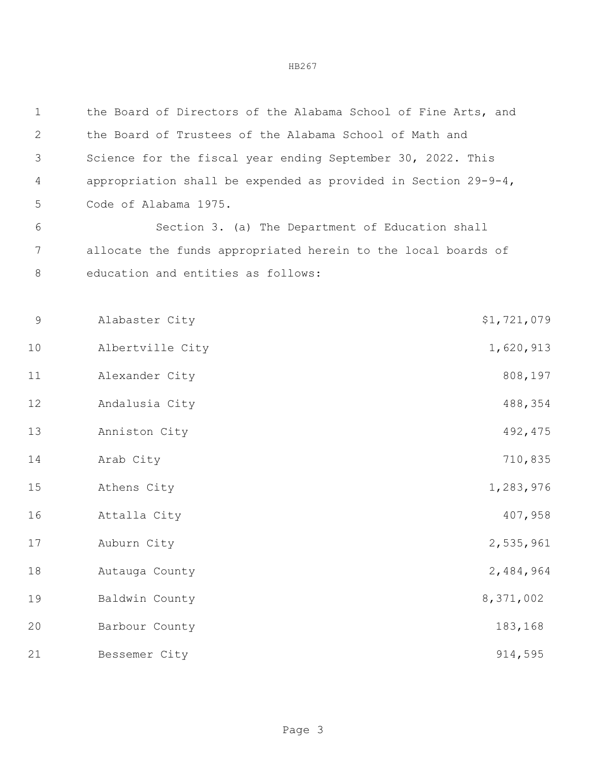| $\mathbf 1$ | the Board of Directors of the Alabama School of Fine Arts, and    |             |
|-------------|-------------------------------------------------------------------|-------------|
| 2           | the Board of Trustees of the Alabama School of Math and           |             |
| 3           | Science for the fiscal year ending September 30, 2022. This       |             |
| 4           | appropriation shall be expended as provided in Section $29-9-4$ , |             |
| 5           | Code of Alabama 1975.                                             |             |
| 6           | Section 3. (a) The Department of Education shall                  |             |
| 7           | allocate the funds appropriated herein to the local boards of     |             |
| 8           | education and entities as follows:                                |             |
|             |                                                                   |             |
| 9           | Alabaster City                                                    | \$1,721,079 |
| 10          | Albertville City                                                  | 1,620,913   |
| 11          | Alexander City                                                    | 808,197     |
| 12          | Andalusia City                                                    | 488,354     |
| 13          | Anniston City                                                     | 492, 475    |
| 14          | Arab City                                                         | 710,835     |
| 15          | Athens City                                                       | 1,283,976   |
| 16          | Attalla City                                                      | 407,958     |
| 17          | Auburn City                                                       | 2,535,961   |
| 18          | Autauga County                                                    | 2,484,964   |
| 19          | Baldwin County                                                    | 8,371,002   |
| 20          | Barbour County                                                    | 183,168     |
| 21          | Bessemer City                                                     | 914,595     |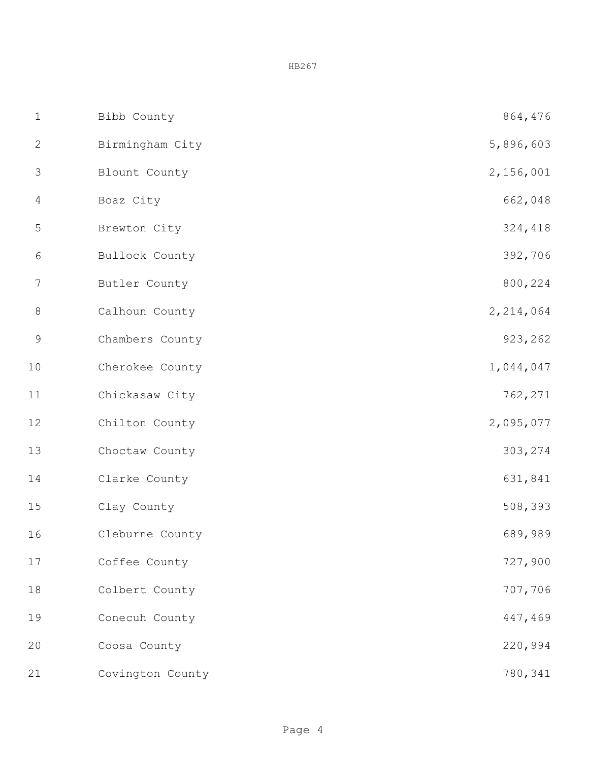| $\mathbf 1$    | Bibb County      | 864,476   |
|----------------|------------------|-----------|
| $\mathbf{2}$   | Birmingham City  | 5,896,603 |
| $\mathfrak{Z}$ | Blount County    | 2,156,001 |
| $\overline{4}$ | Boaz City        | 662,048   |
| 5              | Brewton City     | 324,418   |
| 6              | Bullock County   | 392,706   |
| $\overline{7}$ | Butler County    | 800,224   |
| $\,8\,$        | Calhoun County   | 2,214,064 |
| $\mathsf 9$    | Chambers County  | 923,262   |
| 10             | Cherokee County  | 1,044,047 |
| $11$           | Chickasaw City   | 762,271   |
| 12             | Chilton County   | 2,095,077 |
| 13             | Choctaw County   | 303,274   |
| 14             | Clarke County    | 631,841   |
| 15             | Clay County      | 508,393   |
| 16             | Cleburne County  | 689,989   |
| $17$           | Coffee County    | 727,900   |
| 18             | Colbert County   | 707,706   |
| 19             | Conecuh County   | 447,469   |
| 20             | Coosa County     | 220,994   |
| 21             | Covington County | 780,341   |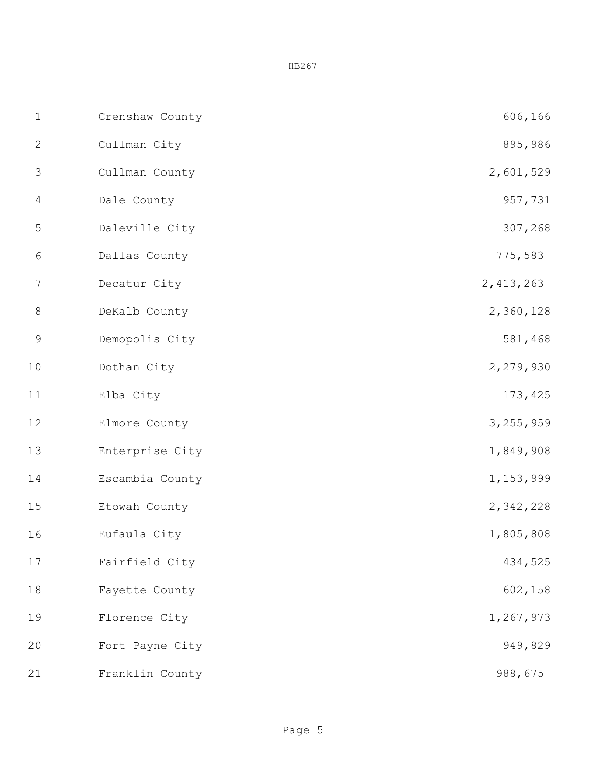| $\mathbf 1$      | Crenshaw County | 606,166     |
|------------------|-----------------|-------------|
| $\sqrt{2}$       | Cullman City    | 895,986     |
| $\mathfrak{Z}$   | Cullman County  | 2,601,529   |
| $\overline{4}$   | Dale County     | 957,731     |
| $\mathsf S$      | Daleville City  | 307,268     |
| $\epsilon$       | Dallas County   | 775,583     |
| $\boldsymbol{7}$ | Decatur City    | 2, 413, 263 |
| $\,8\,$          | DeKalb County   | 2,360,128   |
| $\mathsf 9$      | Demopolis City  | 581,468     |
| $10$             | Dothan City     | 2,279,930   |
| 11               | Elba City       | 173, 425    |
| 12               | Elmore County   | 3,255,959   |
| 13               | Enterprise City | 1,849,908   |
| 14               | Escambia County | 1,153,999   |
| 15               | Etowah County   | 2,342,228   |
| 16               | Eufaula City    | 1,805,808   |
| 17               | Fairfield City  | 434,525     |
| 18               | Fayette County  | 602,158     |
| 19               | Florence City   | 1,267,973   |
| 20               | Fort Payne City | 949,829     |
| 21               | Franklin County | 988,675     |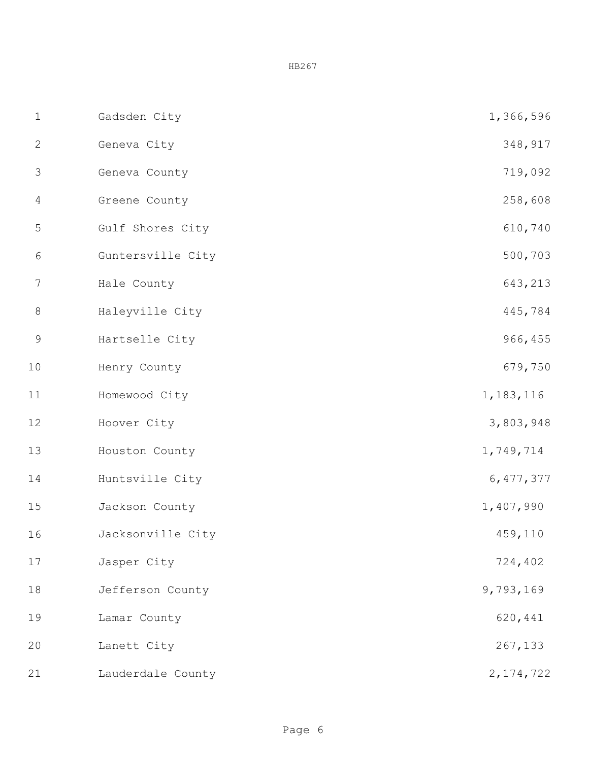| $1\,$            | Gadsden City      | 1,366,596   |
|------------------|-------------------|-------------|
| $\mathbf{2}$     | Geneva City       | 348,917     |
| $\mathfrak{Z}$   | Geneva County     | 719,092     |
| $\overline{4}$   | Greene County     | 258,608     |
| $\mathsf S$      | Gulf Shores City  | 610,740     |
| $\epsilon$       | Guntersville City | 500,703     |
| $\boldsymbol{7}$ | Hale County       | 643,213     |
| $\,8\,$          | Haleyville City   | 445,784     |
| $\mathsf 9$      | Hartselle City    | 966,455     |
| 10               | Henry County      | 679,750     |
| 11               | Homewood City     | 1, 183, 116 |
| 12               | Hoover City       | 3,803,948   |
| 13               | Houston County    | 1,749,714   |
| 14               | Huntsville City   | 6,477,377   |
| 15               | Jackson County    | 1,407,990   |
| 16               | Jacksonville City | 459,110     |
| 17               | Jasper City       | 724,402     |
| 18               | Jefferson County  | 9,793,169   |
| 19               | Lamar County      | 620,441     |
| 20               | Lanett City       | 267,133     |
| 21               | Lauderdale County | 2, 174, 722 |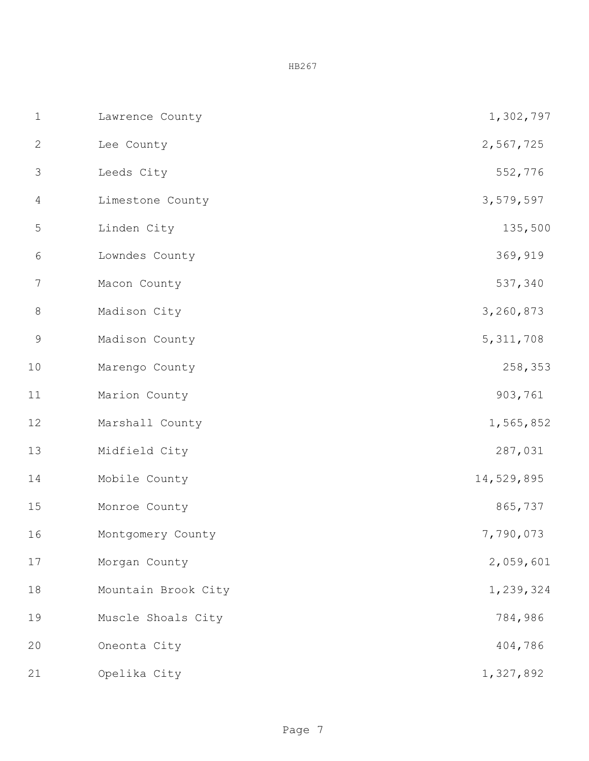| $1\,$          | Lawrence County     | 1,302,797   |
|----------------|---------------------|-------------|
| $\mathbf{2}$   | Lee County          | 2,567,725   |
| $\mathfrak{Z}$ | Leeds City          | 552,776     |
| $\overline{4}$ | Limestone County    | 3,579,597   |
| 5              | Linden City         | 135,500     |
| $\sqrt{6}$     | Lowndes County      | 369,919     |
| 7              | Macon County        | 537,340     |
| $\,8\,$        | Madison City        | 3,260,873   |
| $\mathsf 9$    | Madison County      | 5, 311, 708 |
| 10             | Marengo County      | 258,353     |
| $11$           | Marion County       | 903,761     |
| 12             | Marshall County     | 1,565,852   |
| 13             | Midfield City       | 287,031     |
| 14             | Mobile County       | 14,529,895  |
| 15             | Monroe County       | 865,737     |
| 16             | Montgomery County   | 7,790,073   |
| 17             | Morgan County       | 2,059,601   |
| 18             | Mountain Brook City | 1,239,324   |
| 19             | Muscle Shoals City  | 784,986     |
| 20             | Oneonta City        | 404,786     |
| 21             | Opelika City        | 1,327,892   |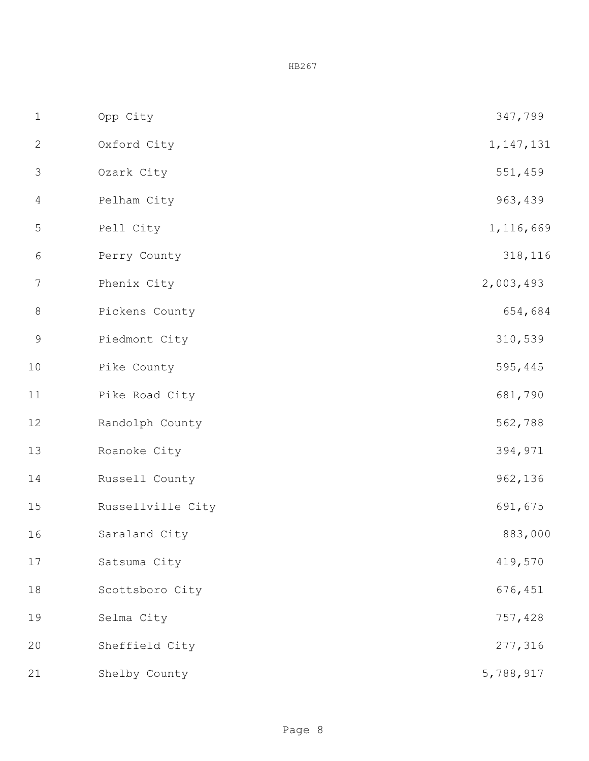| $1\,$            | Opp City          | 347,799     |
|------------------|-------------------|-------------|
| $\mathbf{2}$     | Oxford City       | 1, 147, 131 |
| $\mathfrak{Z}$   | Ozark City        | 551,459     |
| $\overline{4}$   | Pelham City       | 963,439     |
| $\mathsf S$      | Pell City         | 1,116,669   |
| $\epsilon$       | Perry County      | 318,116     |
| $\boldsymbol{7}$ | Phenix City       | 2,003,493   |
| $\,8\,$          | Pickens County    | 654,684     |
| $\mathsf 9$      | Piedmont City     | 310,539     |
| 10               | Pike County       | 595,445     |
| 11               | Pike Road City    | 681,790     |
| 12               | Randolph County   | 562,788     |
| 13               | Roanoke City      | 394,971     |
| 14               | Russell County    | 962,136     |
| 15               | Russellville City | 691,675     |
| 16               | Saraland City     | 883,000     |
| 17               | Satsuma City      | 419,570     |
| 18               | Scottsboro City   | 676,451     |
| 19               | Selma City        | 757,428     |
| 20               | Sheffield City    | 277,316     |
| 21               | Shelby County     | 5,788,917   |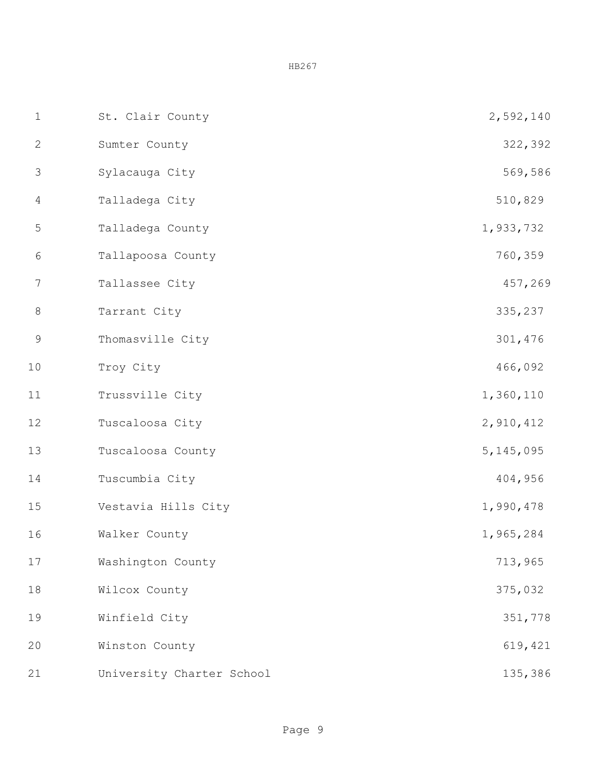| $1\,$            | St. Clair County          | 2,592,140   |
|------------------|---------------------------|-------------|
| $\mathbf{2}$     | Sumter County             | 322,392     |
| $\mathfrak{Z}$   | Sylacauga City            | 569,586     |
| $\overline{4}$   | Talladega City            | 510,829     |
| $\mathsf S$      | Talladega County          | 1,933,732   |
| 6                | Tallapoosa County         | 760,359     |
| $\boldsymbol{7}$ | Tallassee City            | 457,269     |
| $\,8\,$          | Tarrant City              | 335,237     |
| $\mathsf 9$      | Thomasville City          | 301,476     |
| 10               | Troy City                 | 466,092     |
| 11               | Trussville City           | 1,360,110   |
| 12               | Tuscaloosa City           | 2,910,412   |
| 13               | Tuscaloosa County         | 5, 145, 095 |
| 14               | Tuscumbia City            | 404,956     |
| 15               | Vestavia Hills City       | 1,990,478   |
| 16               | Walker County             | 1,965,284   |
| 17               | Washington County         | 713,965     |
| 18               | Wilcox County             | 375,032     |
| 19               | Winfield City             | 351,778     |
| 20               | Winston County            | 619,421     |
| 21               | University Charter School | 135,386     |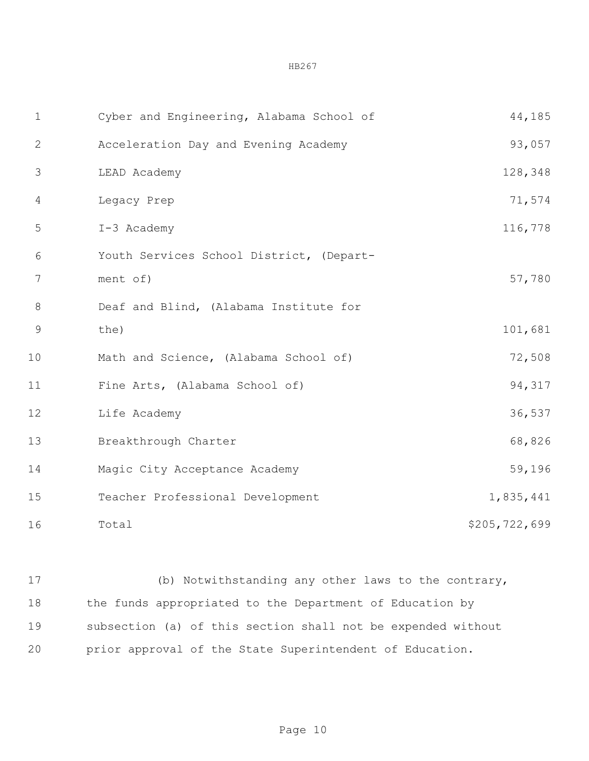| $\mathbf 1$    | Cyber and Engineering, Alabama School of | 44,185        |
|----------------|------------------------------------------|---------------|
| $\mathbf{2}$   | Acceleration Day and Evening Academy     | 93,057        |
| 3              | LEAD Academy                             | 128,348       |
| 4              | Legacy Prep                              | 71,574        |
| 5              | I-3 Academy                              | 116,778       |
| 6              | Youth Services School District, (Depart- |               |
| $\overline{7}$ | ment of)                                 | 57,780        |
| 8              | Deaf and Blind, (Alabama Institute for   |               |
| $\overline{9}$ | the)                                     | 101,681       |
| 10             | Math and Science, (Alabama School of)    | 72,508        |
| 11             | Fine Arts, (Alabama School of)           | 94,317        |
| 12             | Life Academy                             | 36,537        |
| 13             | Breakthrough Charter                     | 68,826        |
| 14             | Magic City Acceptance Academy            | 59,196        |
| 15             | Teacher Professional Development         | 1,835,441     |
| 16             | Total                                    | \$205,722,699 |

 (b) Notwithstanding any other laws to the contrary, the funds appropriated to the Department of Education by subsection (a) of this section shall not be expended without prior approval of the State Superintendent of Education.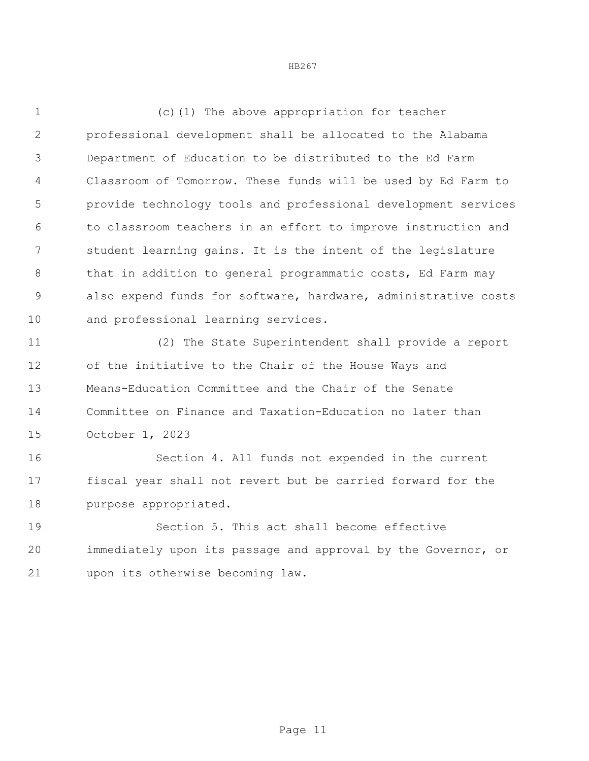(c)(1) The above appropriation for teacher professional development shall be allocated to the Alabama Department of Education to be distributed to the Ed Farm Classroom of Tomorrow. These funds will be used by Ed Farm to provide technology tools and professional development services to classroom teachers in an effort to improve instruction and student learning gains. It is the intent of the legislature 8 that in addition to general programmatic costs, Ed Farm may also expend funds for software, hardware, administrative costs and professional learning services.

 (2) The State Superintendent shall provide a report of the initiative to the Chair of the House Ways and Means-Education Committee and the Chair of the Senate Committee on Finance and Taxation-Education no later than October 1, 2023

 Section 4. All funds not expended in the current fiscal year shall not revert but be carried forward for the purpose appropriated.

 Section 5. This act shall become effective immediately upon its passage and approval by the Governor, or upon its otherwise becoming law.